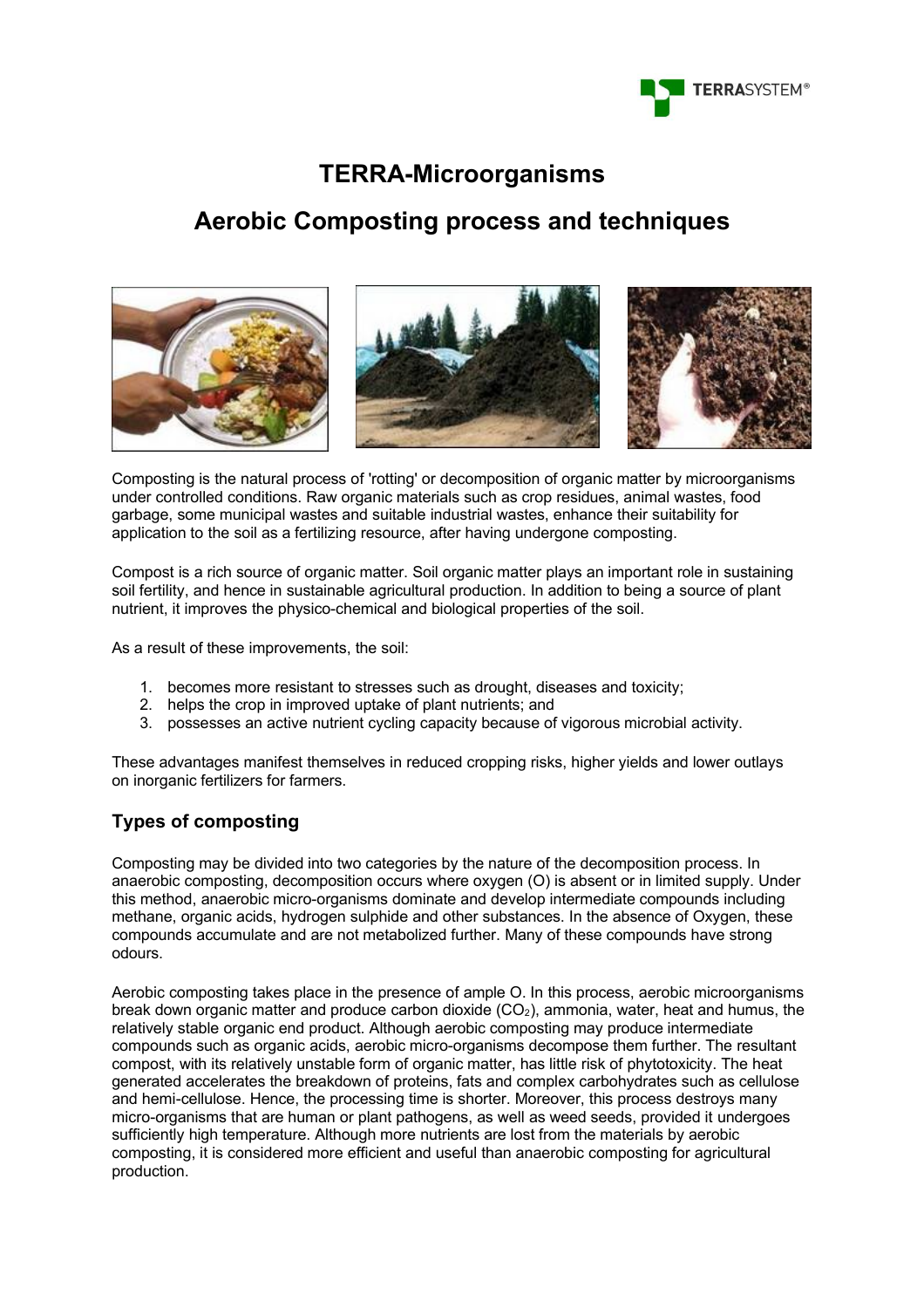

## **TERRA-Microorganisms**

# **Aerobic Composting process and techniques**







Composting is the natural process of 'rotting' or decomposition of organic matter by microorganisms under controlled conditions. Raw organic materials such as crop residues, animal wastes, food garbage, some municipal wastes and suitable industrial wastes, enhance their suitability for application to the soil as a fertilizing resource, after having undergone composting.

Compost is a rich source of organic matter. Soil organic matter plays an important role in sustaining soil fertility, and hence in sustainable agricultural production. In addition to being a source of plant nutrient, it improves the physico-chemical and biological properties of the soil.

As a result of these improvements, the soil:

- 1. becomes more resistant to stresses such as drought, diseases and toxicity;
- 2. helps the crop in improved uptake of plant nutrients; and
- 3. possesses an active nutrient cycling capacity because of vigorous microbial activity.

These advantages manifest themselves in reduced cropping risks, higher yields and lower outlays on inorganic fertilizers for farmers.

## **Types of composting**

Composting may be divided into two categories by the nature of the decomposition process. In anaerobic composting, decomposition occurs where oxygen (O) is absent or in limited supply. Under this method, anaerobic micro-organisms dominate and develop intermediate compounds including methane, organic acids, hydrogen sulphide and other substances. In the absence of Oxygen, these compounds accumulate and are not metabolized further. Many of these compounds have strong odours.

Aerobic composting takes place in the presence of ample O. In this process, aerobic microorganisms break down organic matter and produce carbon dioxide  $(CO<sub>2</sub>)$ , ammonia, water, heat and humus, the relatively stable organic end product. Although aerobic composting may produce intermediate compounds such as organic acids, aerobic micro-organisms decompose them further. The resultant compost, with its relatively unstable form of organic matter, has little risk of phytotoxicity. The heat generated accelerates the breakdown of proteins, fats and complex carbohydrates such as cellulose and hemi-cellulose. Hence, the processing time is shorter. Moreover, this process destroys many micro-organisms that are human or plant pathogens, as well as weed seeds, provided it undergoes sufficiently high temperature. Although more nutrients are lost from the materials by aerobic composting, it is considered more efficient and useful than anaerobic composting for agricultural production.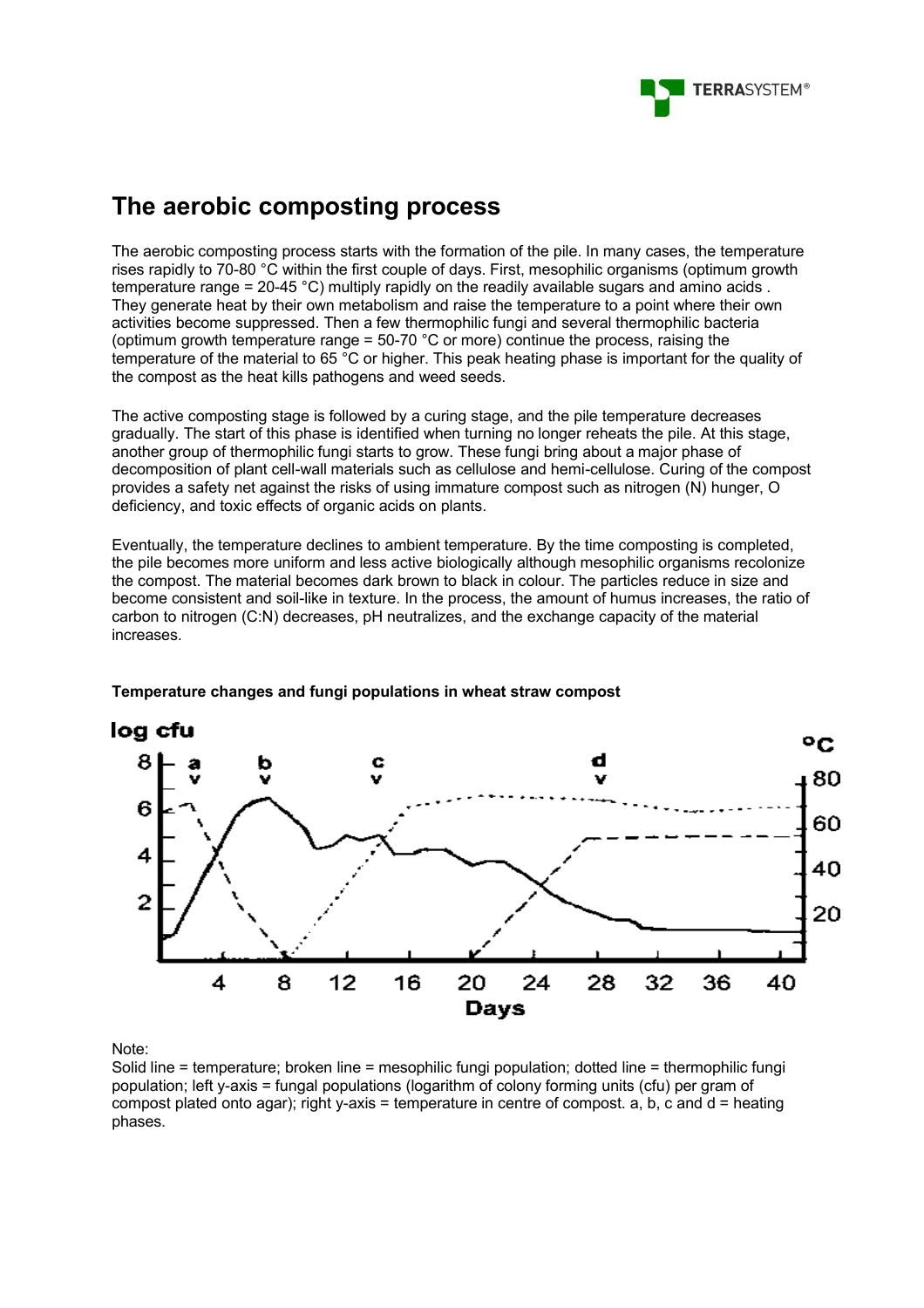

# **The aerobic composting process**

The aerobic composting process starts with the formation of the pile. In many cases, the temperature rises rapidly to 70-80 °C within the first couple of days. First, mesophilic organisms (optimum growth temperature range = 20-45 °C) multiply rapidly on the readily available sugars and amino acids . They generate heat by their own metabolism and raise the temperature to a point where their own activities become suppressed. Then a few thermophilic fungi and several thermophilic bacteria (optimum growth temperature range = 50-70 °C or more) continue the process, raising the temperature of the material to 65 °C or higher. This peak heating phase is important for the quality of the compost as the heat kills pathogens and weed seeds.

The active composting stage is followed by a curing stage, and the pile temperature decreases gradually. The start of this phase is identified when turning no longer reheats the pile. At this stage, another group of thermophilic fungi starts to grow. These fungi bring about a major phase of decomposition of plant cell-wall materials such as cellulose and hemi-cellulose. Curing of the compost provides a safety net against the risks of using immature compost such as nitrogen (N) hunger, O deficiency, and toxic effects of organic acids on plants.

Eventually, the temperature declines to ambient temperature. By the time composting is completed, the pile becomes more uniform and less active biologically although mesophilic organisms recolonize the compost. The material becomes dark brown to black in colour. The particles reduce in size and become consistent and soil-like in texture. In the process, the amount of humus increases, the ratio of carbon to nitrogen (C:N) decreases, pH neutralizes, and the exchange capacity of the material increases.



#### **Temperature changes and fungi populations in wheat straw compost**

Note:

Solid line = temperature; broken line = mesophilic fungi population; dotted line = thermophilic fungi population; left y-axis = fungal populations (logarithm of colony forming units (cfu) per gram of compost plated onto agar); right y-axis = temperature in centre of compost. a, b, c and  $d =$  heating phases.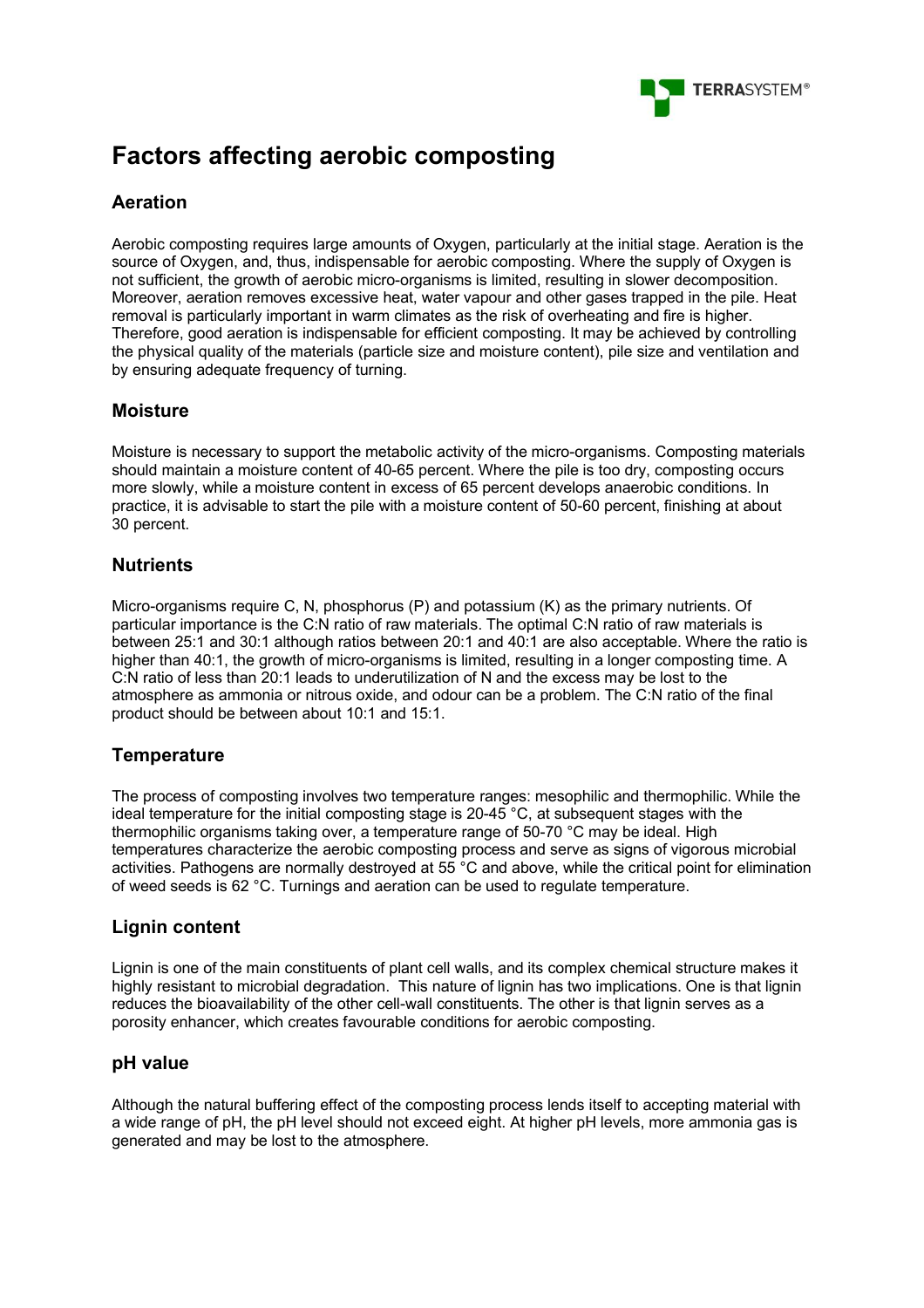

# **Factors affecting aerobic composting**

## **Aeration**

Aerobic composting requires large amounts of Oxygen, particularly at the initial stage. Aeration is the source of Oxygen, and, thus, indispensable for aerobic composting. Where the supply of Oxygen is not sufficient, the growth of aerobic micro-organisms is limited, resulting in slower decomposition. Moreover, aeration removes excessive heat, water vapour and other gases trapped in the pile. Heat removal is particularly important in warm climates as the risk of overheating and fire is higher. Therefore, good aeration is indispensable for efficient composting. It may be achieved by controlling the physical quality of the materials (particle size and moisture content), pile size and ventilation and by ensuring adequate frequency of turning.

## **Moisture**

Moisture is necessary to support the metabolic activity of the micro-organisms. Composting materials should maintain a moisture content of 40-65 percent. Where the pile is too dry, composting occurs more slowly, while a moisture content in excess of 65 percent develops anaerobic conditions. In practice, it is advisable to start the pile with a moisture content of 50-60 percent, finishing at about 30 percent.

#### **Nutrients**

Micro-organisms require C, N, phosphorus (P) and potassium (K) as the primary nutrients. Of particular importance is the C:N ratio of raw materials. The optimal C:N ratio of raw materials is between 25:1 and 30:1 although ratios between 20:1 and 40:1 are also acceptable. Where the ratio is higher than 40:1, the growth of micro-organisms is limited, resulting in a longer composting time. A C:N ratio of less than 20:1 leads to underutilization of N and the excess may be lost to the atmosphere as ammonia or nitrous oxide, and odour can be a problem. The C:N ratio of the final product should be between about 10:1 and 15:1.

## **Temperature**

The process of composting involves two temperature ranges: mesophilic and thermophilic. While the ideal temperature for the initial composting stage is 20-45 °C, at subsequent stages with the thermophilic organisms taking over, a temperature range of 50-70 °C may be ideal. High temperatures characterize the aerobic composting process and serve as signs of vigorous microbial activities. Pathogens are normally destroyed at 55 °C and above, while the critical point for elimination of weed seeds is 62 °C. Turnings and aeration can be used to regulate temperature.

## **Lignin content**

Lignin is one of the main constituents of plant cell walls, and its complex chemical structure makes it highly resistant to microbial degradation. This nature of lignin has two implications. One is that lignin reduces the bioavailability of the other cell-wall constituents. The other is that lignin serves as a porosity enhancer, which creates favourable conditions for aerobic composting.

#### **pH value**

Although the natural buffering effect of the composting process lends itself to accepting material with a wide range of pH, the pH level should not exceed eight. At higher pH levels, more ammonia gas is generated and may be lost to the atmosphere.